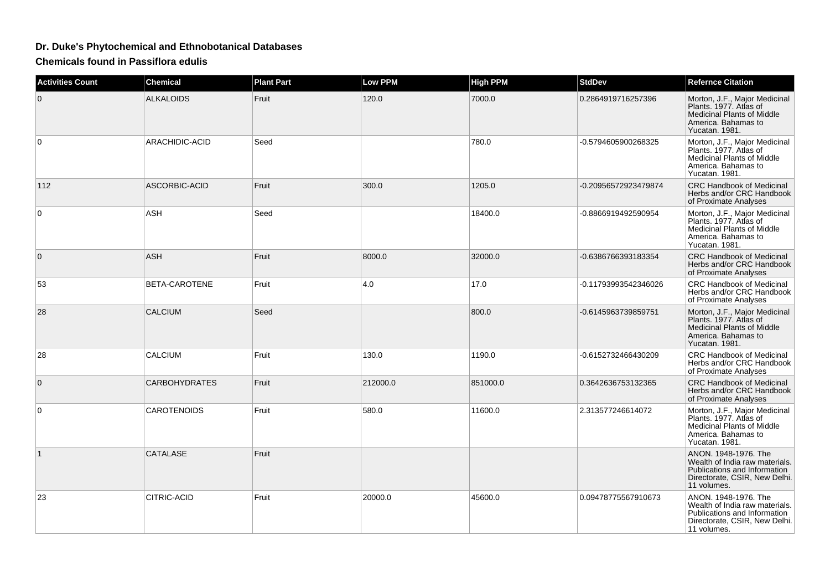## **Dr. Duke's Phytochemical and Ethnobotanical Databases**

**Chemicals found in Passiflora edulis**

| <b>Activities Count</b> | <b>Chemical</b>      | <b>Plant Part</b> | <b>Low PPM</b> | <b>High PPM</b> | <b>StdDev</b>        | <b>Refernce Citation</b>                                                                                                               |
|-------------------------|----------------------|-------------------|----------------|-----------------|----------------------|----------------------------------------------------------------------------------------------------------------------------------------|
| 0                       | <b>ALKALOIDS</b>     | Fruit             | 120.0          | 7000.0          | 0.2864919716257396   | Morton, J.F., Major Medicinal<br>Plants. 1977. Atlas of<br><b>Medicinal Plants of Middle</b><br>America, Bahamas to<br>Yucatan. 1981.  |
| 0                       | ARACHIDIC-ACID       | Seed              |                | 780.0           | -0.5794605900268325  | Morton, J.F., Major Medicinal<br>Plants. 1977. Atlas of<br>Medicinal Plants of Middle<br>America, Bahamas to<br>Yucatan. 1981.         |
| 112                     | ASCORBIC-ACID        | Fruit             | 300.0          | 1205.0          | -0.20956572923479874 | <b>CRC Handbook of Medicinal</b><br>Herbs and/or CRC Handbook<br>of Proximate Analyses                                                 |
| $\mathbf 0$             | ASH                  | Seed              |                | 18400.0         | -0.8866919492590954  | Morton, J.F., Major Medicinal<br>Plants, 1977, Atlas of<br><b>Medicinal Plants of Middle</b><br>America. Bahamas to<br>Yucatan. 1981.  |
| $\mathbf 0$             | <b>ASH</b>           | Fruit             | 8000.0         | 32000.0         | -0.6386766393183354  | <b>CRC Handbook of Medicinal</b><br>Herbs and/or CRC Handbook<br>of Proximate Analyses                                                 |
| 53                      | BETA-CAROTENE        | Fruit             | 4.0            | 17.0            | -0.11793993542346026 | <b>CRC Handbook of Medicinal</b><br>Herbs and/or CRC Handbook<br>of Proximate Analyses                                                 |
| 28                      | <b>CALCIUM</b>       | Seed              |                | 800.0           | -0.6145963739859751  | Morton, J.F., Major Medicinal<br>Plants. 1977. Atlas of<br><b>Medicinal Plants of Middle</b><br>America. Bahamas to<br>Yucatan. 1981.  |
| 28                      | CALCIUM              | Fruit             | 130.0          | 1190.0          | -0.6152732466430209  | <b>CRC Handbook of Medicinal</b><br>Herbs and/or CRC Handbook<br>of Proximate Analyses                                                 |
| 0                       | <b>CARBOHYDRATES</b> | Fruit             | 212000.0       | 851000.0        | 0.3642636753132365   | <b>CRC Handbook of Medicinal</b><br>Herbs and/or CRC Handbook<br>of Proximate Analyses                                                 |
| $\Omega$                | <b>CAROTENOIDS</b>   | Fruit             | 580.0          | 11600.0         | 2.313577246614072    | Morton, J.F., Major Medicinal<br>Plants. 1977. Atlas of<br>Medicinal Plants of Middle<br>America. Bahamas to<br>Yucatan. 1981.         |
| $\mathbf{1}$            | <b>CATALASE</b>      | Fruit             |                |                 |                      | ANON, 1948-1976. The<br>Wealth of India raw materials.<br>Publications and Information<br>Directorate, CSIR, New Delhi.<br>11 volumes. |
| 23                      | CITRIC-ACID          | Fruit             | 20000.0        | 45600.0         | 0.09478775567910673  | ANON. 1948-1976. The<br>Wealth of India raw materials.<br>Publications and Information<br>Directorate, CSIR, New Delhi.<br>11 volumes. |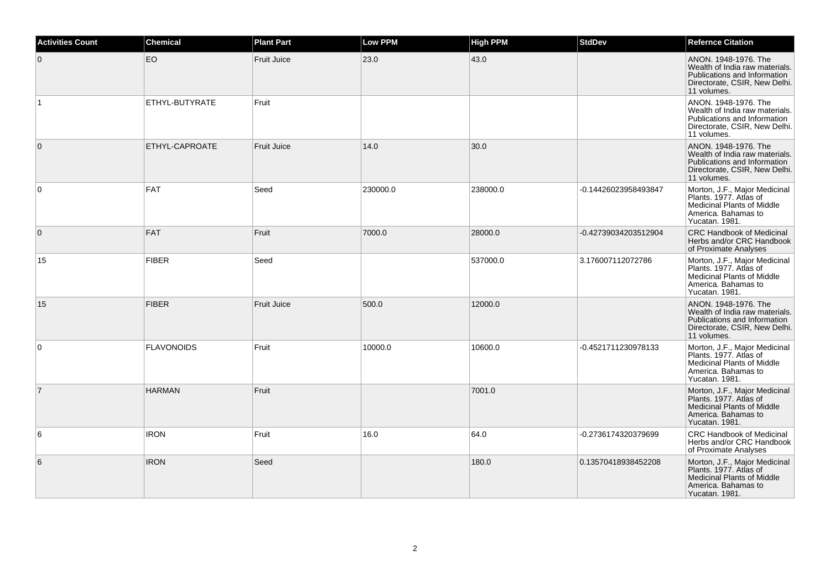| <b>Activities Count</b> | <b>Chemical</b>   | <b>Plant Part</b>  | <b>Low PPM</b> | <b>High PPM</b> | <b>StdDev</b>        | <b>Refernce Citation</b>                                                                                                               |
|-------------------------|-------------------|--------------------|----------------|-----------------|----------------------|----------------------------------------------------------------------------------------------------------------------------------------|
| $\overline{0}$          | EO                | <b>Fruit Juice</b> | 23.0           | 43.0            |                      | ANON, 1948-1976. The<br>Wealth of India raw materials.<br>Publications and Information<br>Directorate, CSIR, New Delhi.<br>11 volumes. |
|                         | ETHYL-BUTYRATE    | Fruit              |                |                 |                      | ANON. 1948-1976. The<br>Wealth of India raw materials.<br>Publications and Information<br>Directorate, CSIR, New Delhi.<br>11 volumes. |
| $\overline{0}$          | ETHYL-CAPROATE    | <b>Fruit Juice</b> | 14.0           | 30.0            |                      | ANON. 1948-1976. The<br>Wealth of India raw materials.<br>Publications and Information<br>Directorate, CSIR, New Delhi.<br>11 volumes. |
| $\overline{0}$          | <b>FAT</b>        | Seed               | 230000.0       | 238000.0        | -0.14426023958493847 | Morton, J.F., Major Medicinal<br>Plants. 1977. Atlas of<br>Medicinal Plants of Middle<br>America. Bahamas to<br>Yucatan. 1981.         |
| $\overline{0}$          | <b>FAT</b>        | Fruit              | 7000.0         | 28000.0         | -0.42739034203512904 | <b>CRC Handbook of Medicinal</b><br>Herbs and/or CRC Handbook<br>of Proximate Analyses                                                 |
| 15                      | <b>FIBER</b>      | Seed               |                | 537000.0        | 3.176007112072786    | Morton, J.F., Major Medicinal<br>Plants. 1977. Atlas of<br><b>Medicinal Plants of Middle</b><br>America. Bahamas to<br>Yucatan. 1981.  |
| 15                      | <b>FIBER</b>      | <b>Fruit Juice</b> | 500.0          | 12000.0         |                      | ANON. 1948-1976. The<br>Wealth of India raw materials.<br>Publications and Information<br>Directorate, CSIR, New Delhi.<br>11 volumes. |
| $\overline{0}$          | <b>FLAVONOIDS</b> | Fruit              | 10000.0        | 10600.0         | -0.4521711230978133  | Morton, J.F., Major Medicinal<br>Plants. 1977. Atlas of<br><b>Medicinal Plants of Middle</b><br>America. Bahamas to<br>Yucatan. 1981.  |
| $\overline{7}$          | <b>HARMAN</b>     | Fruit              |                | 7001.0          |                      | Morton, J.F., Major Medicinal<br>Plants, 1977. Atlas of<br><b>Medicinal Plants of Middle</b><br>America. Bahamas to<br>Yucatan. 1981.  |
| 6                       | <b>IRON</b>       | Fruit              | 16.0           | 64.0            | -0.2736174320379699  | <b>CRC Handbook of Medicinal</b><br>Herbs and/or CRC Handbook<br>of Proximate Analyses                                                 |
| 6                       | <b>IRON</b>       | Seed               |                | 180.0           | 0.13570418938452208  | Morton, J.F., Major Medicinal<br>Plants, 1977. Atlas of<br><b>Medicinal Plants of Middle</b><br>America. Bahamas to<br>Yucatan. 1981.  |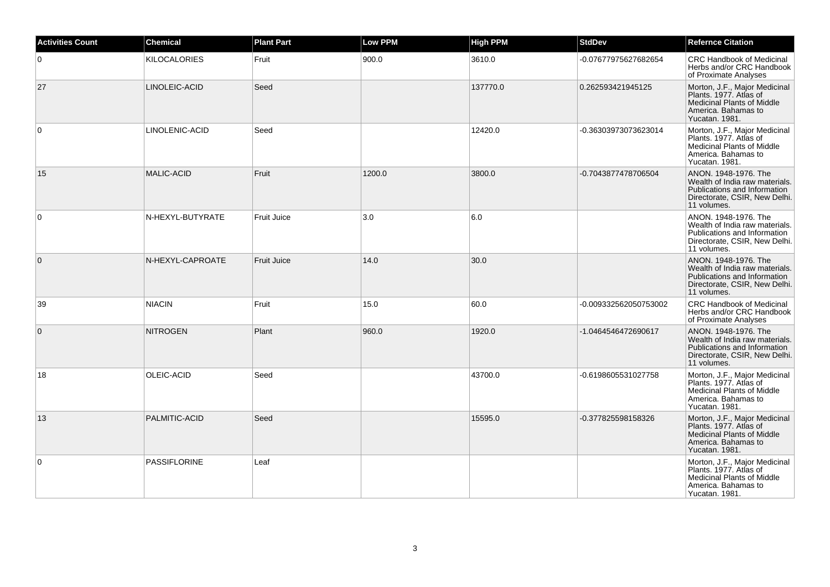| <b>Activities Count</b> | <b>Chemical</b>     | <b>Plant Part</b>  | <b>Low PPM</b> | <b>High PPM</b> | <b>StdDev</b>         | <b>Refernce Citation</b>                                                                                                               |
|-------------------------|---------------------|--------------------|----------------|-----------------|-----------------------|----------------------------------------------------------------------------------------------------------------------------------------|
| $\Omega$                | <b>KILOCALORIES</b> | Fruit              | 900.0          | 3610.0          | -0.07677975627682654  | <b>CRC Handbook of Medicinal</b><br>Herbs and/or CRC Handbook<br>of Proximate Analyses                                                 |
| 27                      | LINOLEIC-ACID       | Seed               |                | 137770.0        | 0.262593421945125     | Morton, J.F., Major Medicinal<br>Plants. 1977. Atlas of<br><b>Medicinal Plants of Middle</b><br>America. Bahamas to<br>Yucatan. 1981.  |
| $\mathbf 0$             | LINOLENIC-ACID      | Seed               |                | 12420.0         | -0.36303973073623014  | Morton, J.F., Major Medicinal<br>Plants. 1977. Atlas of<br>Medicinal Plants of Middle<br>America. Bahamas to<br>Yucatan. 1981.         |
| 15                      | <b>MALIC-ACID</b>   | Fruit              | 1200.0         | 3800.0          | -0.7043877478706504   | ANON, 1948-1976. The<br>Wealth of India raw materials.<br>Publications and Information<br>Directorate, CSIR, New Delhi.<br>11 volumes. |
| $\mathbf 0$             | N-HEXYL-BUTYRATE    | Fruit Juice        | 3.0            | 6.0             |                       | ANON. 1948-1976. The<br>Wealth of India raw materials.<br>Publications and Information<br>Directorate, CSIR, New Delhi.<br>11 volumes. |
| $\mathbf{0}$            | N-HEXYL-CAPROATE    | <b>Fruit Juice</b> | 14.0           | 30.0            |                       | ANON. 1948-1976. The<br>Wealth of India raw materials.<br>Publications and Information<br>Directorate, CSIR, New Delhi.<br>11 volumes. |
| 39                      | <b>NIACIN</b>       | Fruit              | 15.0           | 60.0            | -0.009332562050753002 | CRC Handbook of Medicinal<br>Herbs and/or CRC Handbook<br>of Proximate Analyses                                                        |
| $\mathbf{0}$            | <b>NITROGEN</b>     | Plant              | 960.0          | 1920.0          | -1.0464546472690617   | ANON. 1948-1976. The<br>Wealth of India raw materials.<br>Publications and Information<br>Directorate, CSIR, New Delhi.<br>11 volumes. |
| 18                      | OLEIC-ACID          | Seed               |                | 43700.0         | -0.6198605531027758   | Morton, J.F., Major Medicinal<br>Plants, 1977. Atlas of<br><b>Medicinal Plants of Middle</b><br>America. Bahamas to<br>Yucatan. 1981.  |
| 13                      | PALMITIC-ACID       | Seed               |                | 15595.0         | -0.377825598158326    | Morton, J.F., Major Medicinal<br>Plants, 1977. Atlas of<br><b>Medicinal Plants of Middle</b><br>America. Bahamas to<br>Yucatan. 1981.  |
| $\mathbf 0$             | <b>PASSIFLORINE</b> | Leaf               |                |                 |                       | Morton, J.F., Major Medicinal<br>Plants, 1977. Atlas of<br><b>Medicinal Plants of Middle</b><br>America. Bahamas to<br>Yucatan, 1981.  |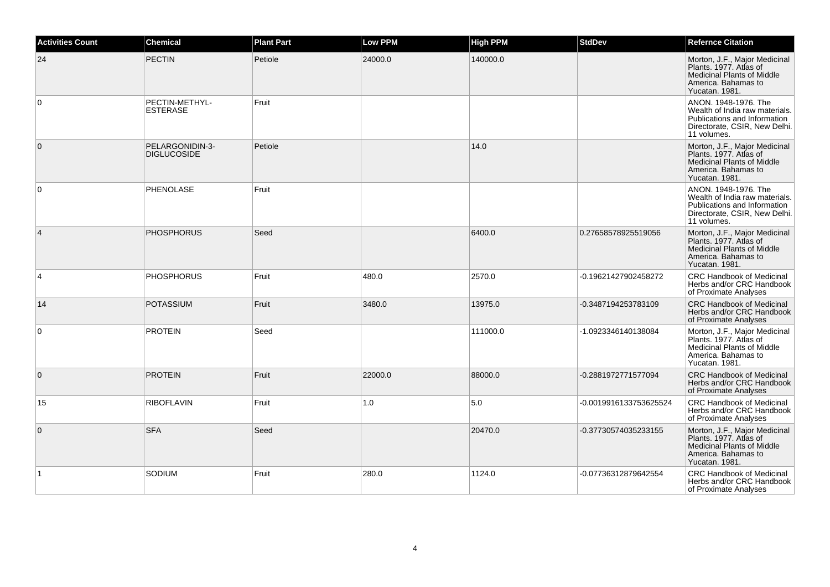| <b>Activities Count</b> | <b>Chemical</b>                       | <b>Plant Part</b> | <b>Low PPM</b> | <b>High PPM</b> | <b>StdDev</b>          | <b>Refernce Citation</b>                                                                                                               |
|-------------------------|---------------------------------------|-------------------|----------------|-----------------|------------------------|----------------------------------------------------------------------------------------------------------------------------------------|
| 24                      | <b>PECTIN</b>                         | Petiole           | 24000.0        | 140000.0        |                        | Morton, J.F., Major Medicinal<br>Plants. 1977. Atlas of<br><b>Medicinal Plants of Middle</b><br>America. Bahamas to<br>Yucatan. 1981.  |
| 0                       | PECTIN-METHYL-<br><b>ESTERASE</b>     | Fruit             |                |                 |                        | ANON, 1948-1976. The<br>Wealth of India raw materials.<br>Publications and Information<br>Directorate, CSIR, New Delhi.<br>11 volumes. |
| $\mathbf{0}$            | PELARGONIDIN-3-<br><b>DIGLUCOSIDE</b> | Petiole           |                | 14.0            |                        | Morton, J.F., Major Medicinal<br>Plants. 1977. Atlas of<br><b>Medicinal Plants of Middle</b><br>America. Bahamas to<br>Yucatan. 1981.  |
| $\mathbf 0$             | PHENOLASE                             | Fruit             |                |                 |                        | ANON. 1948-1976. The<br>Wealth of India raw materials.<br>Publications and Information<br>Directorate, CSIR, New Delhi.<br>11 volumes. |
| $\overline{4}$          | <b>PHOSPHORUS</b>                     | Seed              |                | 6400.0          | 0.27658578925519056    | Morton, J.F., Major Medicinal<br>Plants, 1977. Atlas of<br><b>Medicinal Plants of Middle</b><br>America. Bahamas to<br>Yucatan. 1981.  |
| 4                       | <b>PHOSPHORUS</b>                     | Fruit             | 480.0          | 2570.0          | -0.19621427902458272   | <b>CRC Handbook of Medicinal</b><br>Herbs and/or CRC Handbook<br>of Proximate Analyses                                                 |
| 14                      | <b>POTASSIUM</b>                      | Fruit             | 3480.0         | 13975.0         | -0.3487194253783109    | <b>CRC Handbook of Medicinal</b><br>Herbs and/or CRC Handbook<br>of Proximate Analyses                                                 |
| $\mathbf 0$             | <b>PROTEIN</b>                        | Seed              |                | 111000.0        | -1.0923346140138084    | Morton, J.F., Major Medicinal<br>Plants. 1977. Atlas of<br><b>Medicinal Plants of Middle</b><br>America. Bahamas to<br>Yucatan. 1981.  |
| $\mathbf 0$             | <b>PROTEIN</b>                        | Fruit             | 22000.0        | 88000.0         | -0.2881972771577094    | <b>CRC Handbook of Medicinal</b><br>Herbs and/or CRC Handbook<br>of Proximate Analyses                                                 |
| 15                      | <b>RIBOFLAVIN</b>                     | Fruit             | 1.0            | 5.0             | -0.0019916133753625524 | <b>CRC Handbook of Medicinal</b><br>Herbs and/or CRC Handbook<br>of Proximate Analyses                                                 |
| $\mathbf 0$             | <b>SFA</b>                            | Seed              |                | 20470.0         | -0.37730574035233155   | Morton, J.F., Major Medicinal<br>Plants, 1977. Atlas of<br><b>Medicinal Plants of Middle</b><br>America. Bahamas to<br>Yucatan. 1981.  |
| $\mathbf{1}$            | SODIUM                                | Fruit             | 280.0          | 1124.0          | -0.07736312879642554   | CRC Handbook of Medicinal<br>Herbs and/or CRC Handbook<br>of Proximate Analyses                                                        |